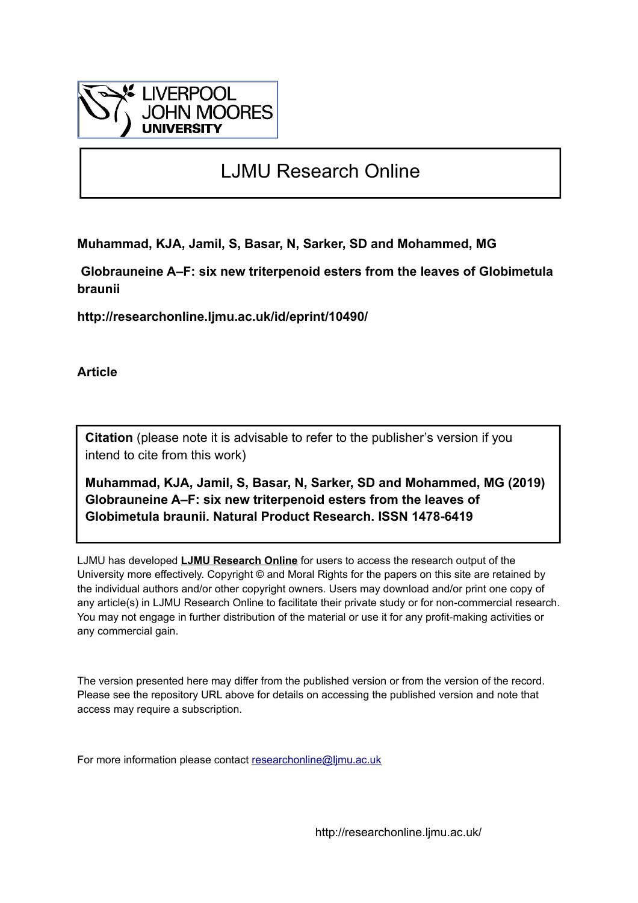

# LJMU Research Online

**Muhammad, KJA, Jamil, S, Basar, N, Sarker, SD and Mohammed, MG**

 **Globrauneine A–F: six new triterpenoid esters from the leaves of Globimetula braunii**

**http://researchonline.ljmu.ac.uk/id/eprint/10490/**

**Article**

**Citation** (please note it is advisable to refer to the publisher's version if you intend to cite from this work)

**Muhammad, KJA, Jamil, S, Basar, N, Sarker, SD and Mohammed, MG (2019) Globrauneine A–F: six new triterpenoid esters from the leaves of Globimetula braunii. Natural Product Research. ISSN 1478-6419** 

LJMU has developed **[LJMU Research Online](http://researchonline.ljmu.ac.uk/)** for users to access the research output of the University more effectively. Copyright © and Moral Rights for the papers on this site are retained by the individual authors and/or other copyright owners. Users may download and/or print one copy of any article(s) in LJMU Research Online to facilitate their private study or for non-commercial research. You may not engage in further distribution of the material or use it for any profit-making activities or any commercial gain.

The version presented here may differ from the published version or from the version of the record. Please see the repository URL above for details on accessing the published version and note that access may require a subscription.

For more information please contact [researchonline@ljmu.ac.uk](mailto:researchonline@ljmu.ac.uk)

http://researchonline.ljmu.ac.uk/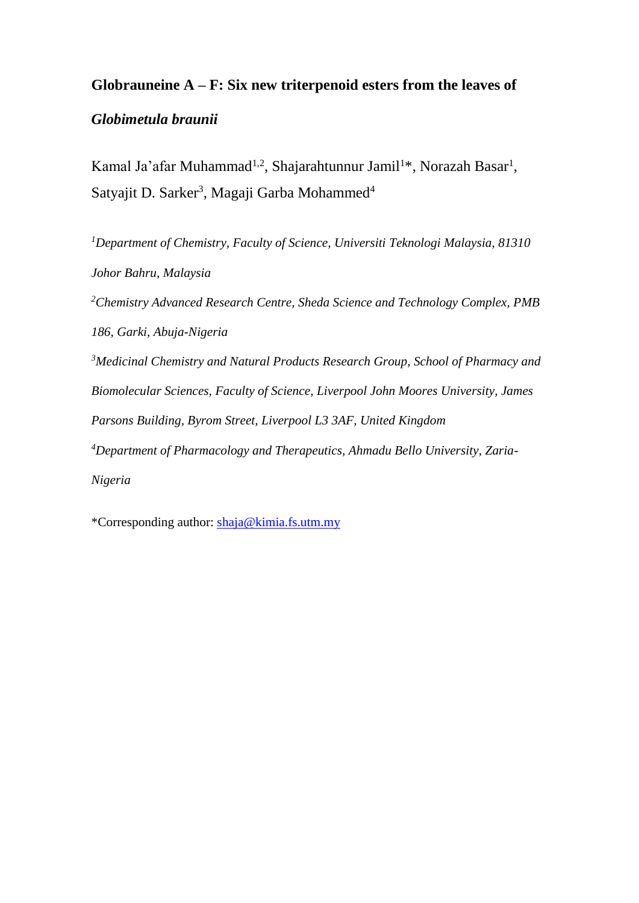## **Globrauneine A – F: Six new triterpenoid esters from the leaves of**

### *Globimetula braunii*

Kamal Ja'afar Muhammad<sup>1,2</sup>, Shajarahtunnur Jamil<sup>1\*</sup>, Norazah Basar<sup>1</sup>, Satyajit D. Sarker<sup>3</sup>, Magaji Garba Mohammed<sup>4</sup>

*<sup>1</sup>Department of Chemistry, Faculty of Science, Universiti Teknologi Malaysia, 81310 Johor Bahru, Malaysia <sup>2</sup>Chemistry Advanced Research Centre, Sheda Science and Technology Complex, PMB 186, Garki, Abuja-Nigeria <sup>3</sup>Medicinal Chemistry and Natural Products Research Group, School of Pharmacy and Biomolecular Sciences, Faculty of Science, Liverpool John Moores University, James Parsons Building, Byrom Street, Liverpool L3 3AF, United Kingdom <sup>4</sup>Department of Pharmacology and Therapeutics, Ahmadu Bello University, Zaria-Nigeria*

\*Corresponding author: [shaja@kimia.fs.utm.my](mailto:shaja@kimia.fs.utm.my)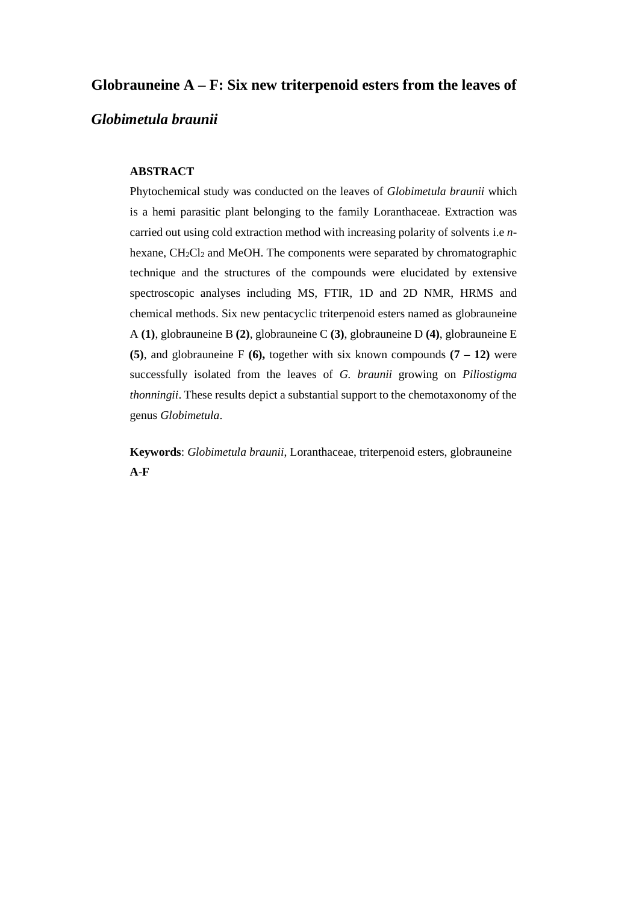#### **Globrauneine A – F: Six new triterpenoid esters from the leaves of**

#### *Globimetula braunii*

#### **ABSTRACT**

Phytochemical study was conducted on the leaves of *Globimetula braunii* which is a hemi parasitic plant belonging to the family Loranthaceae. Extraction was carried out using cold extraction method with increasing polarity of solvents i.e *n*hexane,  $CH_2Cl_2$  and MeOH. The components were separated by chromatographic technique and the structures of the compounds were elucidated by extensive spectroscopic analyses including MS, FTIR, 1D and 2D NMR, HRMS and chemical methods. Six new pentacyclic triterpenoid esters named as globrauneine A **(1)**, globrauneine B **(2)**, globrauneine C **(3)**, globrauneine D **(4)**, globrauneine E **(5)**, and globrauneine F **(6),** together with six known compounds **(7 – 12)** were successfully isolated from the leaves of *G. braunii* growing on *Piliostigma thonningii*. These results depict a substantial support to the chemotaxonomy of the genus *Globimetula*.

**Keywords**: *Globimetula braunii*, Loranthaceae, triterpenoid esters, globrauneine **A**-**F**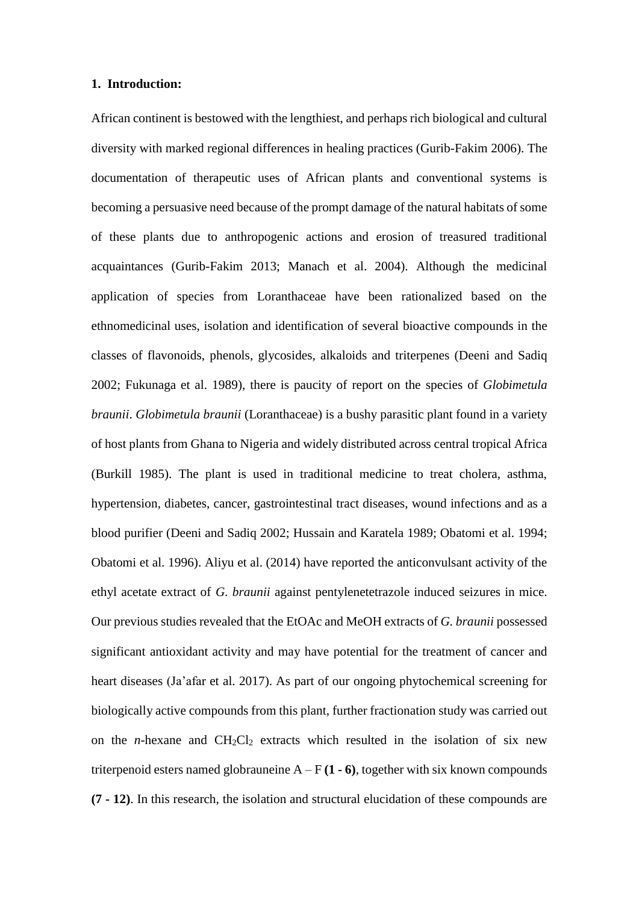#### **1. Introduction:**

African continent is bestowed with the lengthiest, and perhaps rich biological and cultural diversity with marked regional differences in healing practices (Gurib-Fakim 2006). The documentation of therapeutic uses of African plants and conventional systems is becoming a persuasive need because of the prompt damage of the natural habitats of some of these plants due to anthropogenic actions and erosion of treasured traditional acquaintances (Gurib-Fakim 2013; Manach et al. 2004). Although the medicinal application of species from Loranthaceae have been rationalized based on the ethnomedicinal uses, isolation and identification of several bioactive compounds in the classes of flavonoids, phenols, glycosides, alkaloids and triterpenes (Deeni and Sadiq 2002; Fukunaga et al. 1989), there is paucity of report on the species of *Globimetula braunii*. *Globimetula braunii* (Loranthaceae) is a bushy parasitic plant found in a variety of host plants from Ghana to Nigeria and widely distributed across central tropical Africa (Burkill 1985). The plant is used in traditional medicine to treat cholera, asthma, hypertension, diabetes, cancer, gastrointestinal tract diseases, wound infections and as a blood purifier (Deeni and Sadiq 2002; Hussain and Karatela 1989; Obatomi et al. 1994; Obatomi et al. 1996). Aliyu et al. (2014) have reported the anticonvulsant activity of the ethyl acetate extract of *G. braunii* against pentylenetetrazole induced seizures in mice. Our previous studies revealed that the EtOAc and MeOH extracts of *G. braunii* possessed significant antioxidant activity and may have potential for the treatment of cancer and heart diseases (Ja'afar et al. 2017). As part of our ongoing phytochemical screening for biologically active compounds from this plant, further fractionation study was carried out on the *n*-hexane and  $CH<sub>2</sub>Cl<sub>2</sub>$  extracts which resulted in the isolation of six new triterpenoid esters named globrauneine  $A - F(1 - 6)$ , together with six known compounds **(7 - 12)**. In this research, the isolation and structural elucidation of these compounds are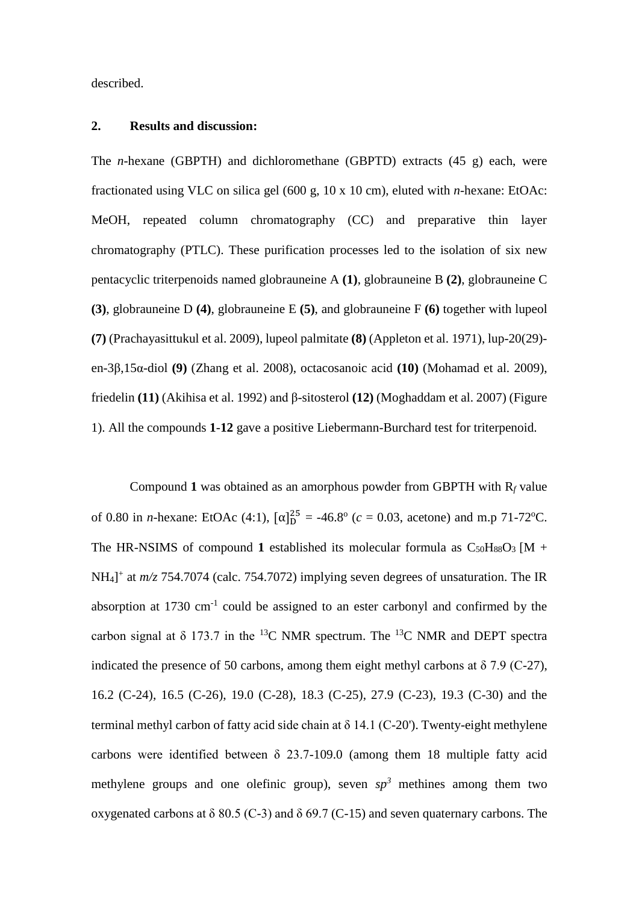described.

#### **2. Results and discussion:**

The *n*-hexane (GBPTH) and dichloromethane (GBPTD) extracts (45 g) each, were fractionated using VLC on silica gel (600 g, 10 x 10 cm), eluted with *n*-hexane: EtOAc: MeOH, repeated column chromatography (CC) and preparative thin layer chromatography (PTLC). These purification processes led to the isolation of six new pentacyclic triterpenoids named globrauneine A **(1)**, globrauneine B **(2)**, globrauneine C **(3)**, globrauneine D **(4)**, globrauneine E **(5)**, and globrauneine F **(6)** together with lupeol **(7)** (Prachayasittukul et al. 2009), lupeol palmitate **(8)** (Appleton et al. 1971), lup-20(29) en-3β,15α-diol **(9)** (Zhang et al. 2008), octacosanoic acid **(10)** (Mohamad et al. 2009), friedelin **(11)** (Akihisa et al. 1992) and β-sitosterol **(12)** (Moghaddam et al. 2007) (Figure 1). All the compounds **1**-**12** gave a positive Liebermann-Burchard test for triterpenoid.

Compound 1 was obtained as an amorphous powder from GBPTH with  $R_f$  value of 0.80 in *n*-hexane: EtOAc (4:1),  $[\alpha]_D^{25} = -46.8^\circ$  ( $c = 0.03$ , acetone) and m.p 71-72<sup>o</sup>C. The HR-NSIMS of compound 1 established its molecular formula as  $C_{50}H_{88}O_3$  [M + NH<sub>4</sub><sup>+</sup> at *m/z* 754.7074 (calc. 754.7072) implying seven degrees of unsaturation. The IR absorption at  $1730 \text{ cm}^{-1}$  could be assigned to an ester carbonyl and confirmed by the carbon signal at  $\delta$  173.7 in the <sup>13</sup>C NMR spectrum. The <sup>13</sup>C NMR and DEPT spectra indicated the presence of 50 carbons, among them eight methyl carbons at  $\delta$  7.9 (C-27), 16.2 (C-24), 16.5 (C-26), 19.0 (C-28), 18.3 (C-25), 27.9 (C-23), 19.3 (C-30) and the terminal methyl carbon of fatty acid side chain at δ 14.1 (C-20'). Twenty-eight methylene carbons were identified between  $\delta$  23.7-109.0 (among them 18 multiple fatty acid methylene groups and one olefinic group), seven  $sp<sup>3</sup>$  methines among them two oxygenated carbons at δ 80.5 (C-3) and δ 69.7 (C-15) and seven quaternary carbons. The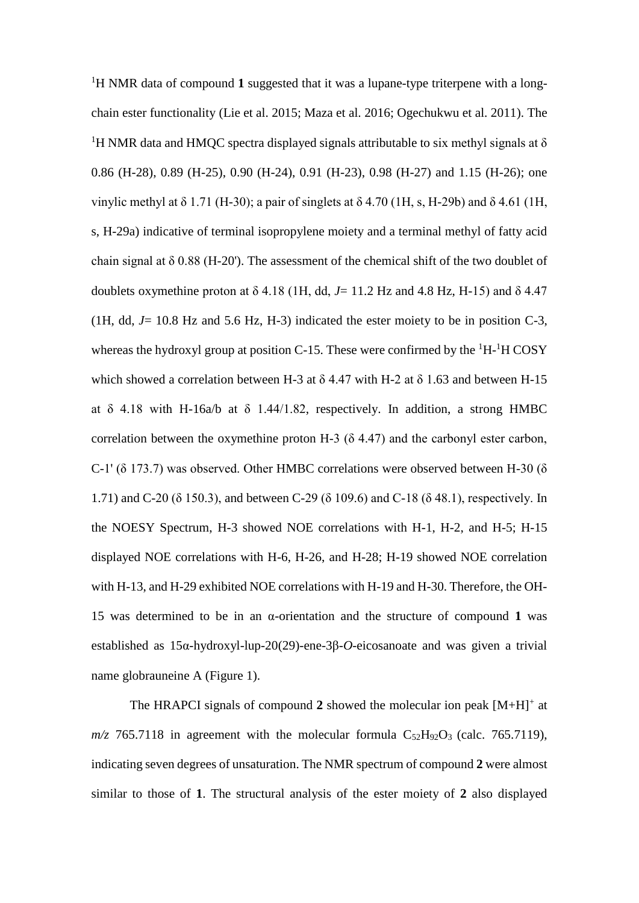<sup>1</sup>H NMR data of compound 1 suggested that it was a lupane-type triterpene with a longchain ester functionality (Lie et al. 2015; Maza et al. 2016; Ogechukwu et al. 2011). The <sup>1</sup>H NMR data and HMQC spectra displayed signals attributable to six methyl signals at  $\delta$ 0.86 (H-28), 0.89 (H-25), 0.90 (H-24), 0.91 (H-23), 0.98 (H-27) and 1.15 (H-26); one vinylic methyl at δ 1.71 (H-30); a pair of singlets at δ 4.70 (1H, s, H-29b) and δ 4.61 (1H, s, H-29a) indicative of terminal isopropylene moiety and a terminal methyl of fatty acid chain signal at  $\delta$  0.88 (H-20'). The assessment of the chemical shift of the two doublet of doublets oxymethine proton at  $\delta$  4.18 (1H, dd,  $J=$  11.2 Hz and 4.8 Hz, H-15) and  $\delta$  4.47 (1H, dd, *J*= 10.8 Hz and 5.6 Hz, H-3) indicated the ester moiety to be in position C-3, whereas the hydroxyl group at position C-15. These were confirmed by the  ${}^{1}H$ - ${}^{1}H$  COSY which showed a correlation between H-3 at  $\delta$  4.47 with H-2 at  $\delta$  1.63 and between H-15 at  $\delta$  4.18 with H-16a/b at  $\delta$  1.44/1.82, respectively. In addition, a strong HMBC correlation between the oxymethine proton H-3  $(\delta$  4.47) and the carbonyl ester carbon, C-1' (δ 173.7) was observed. Other HMBC correlations were observed between H-30 (δ 1.71) and C-20 (δ 150.3), and between C-29 (δ 109.6) and C-18 (δ 48.1), respectively. In the NOESY Spectrum, H-3 showed NOE correlations with H-1, H-2, and H-5; H-15 displayed NOE correlations with H-6, H-26, and H-28; H-19 showed NOE correlation with H-13, and H-29 exhibited NOE correlations with H-19 and H-30. Therefore, the OH-15 was determined to be in an α-orientation and the structure of compound **1** was established as 15α-hydroxyl-lup-20(29)-ene-3β-*O*-eicosanoate and was given a trivial name globrauneine A (Figure 1).

The HRAPCI signals of compound  $2$  showed the molecular ion peak  $[M+H]$ <sup>+</sup> at  $m/z$  765.7118 in agreement with the molecular formula  $C_{52}H_{92}O_3$  (calc. 765.7119), indicating seven degrees of unsaturation. The NMR spectrum of compound **2** were almost similar to those of **1**. The structural analysis of the ester moiety of **2** also displayed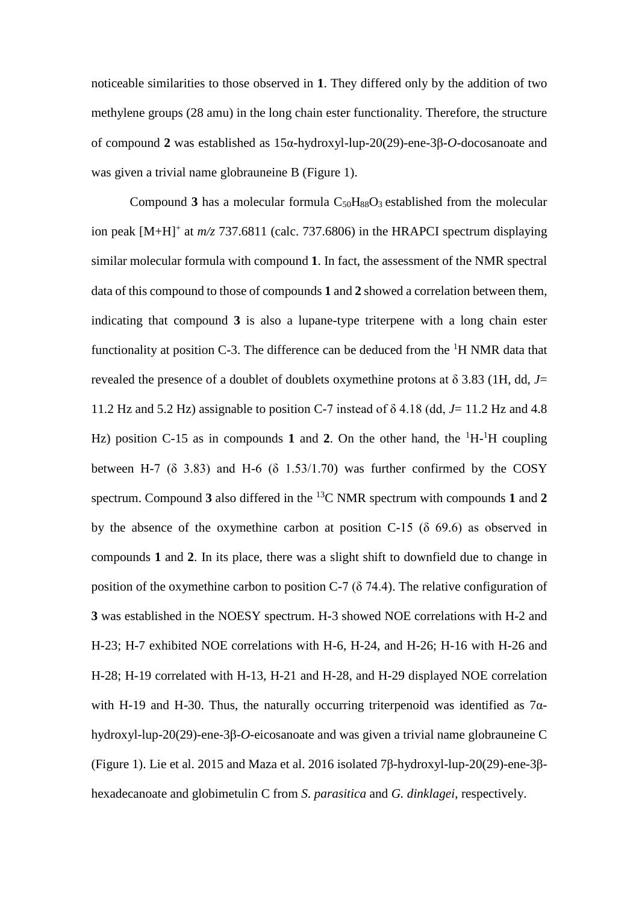noticeable similarities to those observed in **1**. They differed only by the addition of two methylene groups (28 amu) in the long chain ester functionality. Therefore, the structure of compound **2** was established as 15α-hydroxyl-lup-20(29)-ene-3β-*O*-docosanoate and was given a trivial name globrauneine B (Figure 1).

Compound  $3$  has a molecular formula  $C_{50}H_{88}O_3$  established from the molecular ion peak [M+H]<sup>+</sup> at  $m/z$  737.6811 (calc. 737.6806) in the HRAPCI spectrum displaying similar molecular formula with compound **1**. In fact, the assessment of the NMR spectral data of this compound to those of compounds **1** and **2** showed a correlation between them, indicating that compound **3** is also a lupane-type triterpene with a long chain ester functionality at position C-3. The difference can be deduced from the  ${}^{1}H$  NMR data that revealed the presence of a doublet of doublets oxymethine protons at  $\delta$  3.83 (1H, dd, *J*= 11.2 Hz and 5.2 Hz) assignable to position C-7 instead of δ 4.18 (dd, *J*= 11.2 Hz and 4.8 Hz) position C-15 as in compounds 1 and 2. On the other hand, the  ${}^{1}H$ - ${}^{1}H$  coupling between H-7 ( $\delta$  3.83) and H-6 ( $\delta$  1.53/1.70) was further confirmed by the COSY spectrum. Compound **3** also differed in the <sup>13</sup>C NMR spectrum with compounds **1** and **2** by the absence of the oxymethine carbon at position C-15 (δ 69.6) as observed in compounds **1** and **2**. In its place, there was a slight shift to downfield due to change in position of the oxymethine carbon to position C-7 ( $\delta$  74.4). The relative configuration of **3** was established in the NOESY spectrum. H-3 showed NOE correlations with H-2 and H-23; H-7 exhibited NOE correlations with H-6, H-24, and H-26; H-16 with H-26 and H-28; H-19 correlated with H-13, H-21 and H-28, and H-29 displayed NOE correlation with H-19 and H-30. Thus, the naturally occurring triterpenoid was identified as  $7\alpha$ hydroxyl-lup-20(29)-ene-3β-*O*-eicosanoate and was given a trivial name globrauneine C (Figure 1). Lie et al. 2015 and Maza et al. 2016 isolated 7β-hydroxyl-lup-20(29)-ene-3βhexadecanoate and globimetulin C from *S*. *parasitica* and *G. dinklagei*, respectively.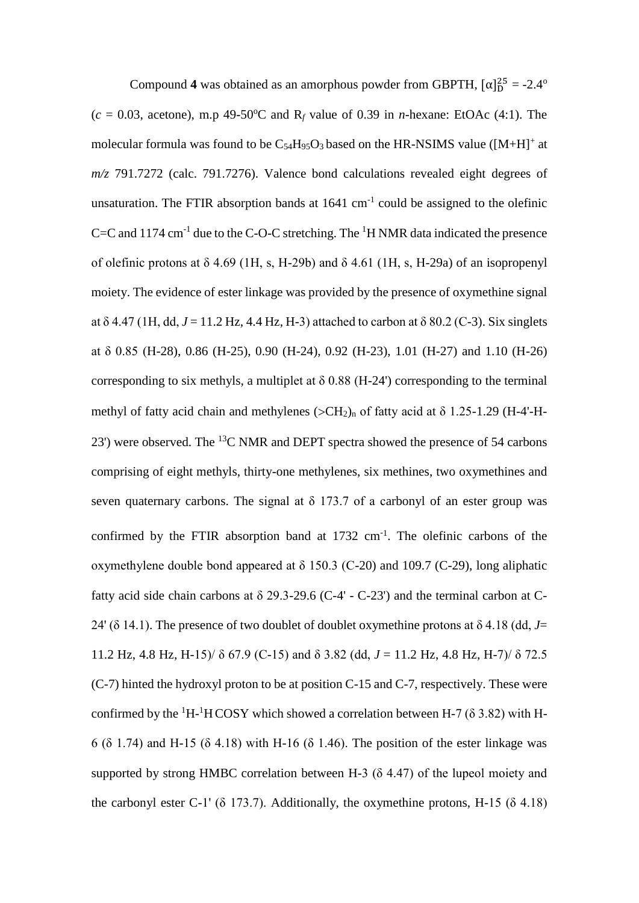Compound **4** was obtained as an amorphous powder from GBPTH,  $[\alpha]_D^{25} = -2.4^{\circ}$  $(c = 0.03$ , acetone), m.p 49-50<sup>o</sup>C and R<sub>f</sub> value of 0.39 in *n*-hexane: EtOAc (4:1). The molecular formula was found to be  $C_{54}H_{95}O_3$  based on the HR-NSIMS value ([M+H]<sup>+</sup> at *m/z* 791.7272 (calc. 791.7276). Valence bond calculations revealed eight degrees of unsaturation. The FTIR absorption bands at  $1641 \text{ cm}^{-1}$  could be assigned to the olefinic C=C and 1174 cm<sup>-1</sup> due to the C-O-C stretching. The <sup>1</sup>H NMR data indicated the presence of olefinic protons at  $\delta$  4.69 (1H, s, H-29b) and  $\delta$  4.61 (1H, s, H-29a) of an isopropenyl moiety. The evidence of ester linkage was provided by the presence of oxymethine signal at  $\delta$  4.47 (1H, dd,  $J = 11.2$  Hz, 4.4 Hz, H-3) attached to carbon at  $\delta$  80.2 (C-3). Six singlets at δ 0.85 (H-28), 0.86 (H-25), 0.90 (H-24), 0.92 (H-23), 1.01 (H-27) and 1.10 (H-26) corresponding to six methyls, a multiplet at  $\delta$  0.88 (H-24') corresponding to the terminal methyl of fatty acid chain and methylenes  $(SCH<sub>2</sub>)<sub>n</sub>$  of fatty acid at  $\delta$  1.25-1.29 (H-4'-H-23') were observed. The <sup>13</sup>C NMR and DEPT spectra showed the presence of 54 carbons comprising of eight methyls, thirty-one methylenes, six methines, two oxymethines and seven quaternary carbons. The signal at  $\delta$  173.7 of a carbonyl of an ester group was confirmed by the FTIR absorption band at  $1732 \text{ cm}^{-1}$ . The olefinic carbons of the oxymethylene double bond appeared at δ 150.3 (C-20) and 109.7 (C-29), long aliphatic fatty acid side chain carbons at  $\delta$  29.3-29.6 (C-4' - C-23') and the terminal carbon at C-24' ( $\delta$  14.1). The presence of two doublet of doublet oxymethine protons at  $\delta$  4.18 (dd, *J*= 11.2 Hz, 4.8 Hz, H-15)/ δ 67.9 (C-15) and δ 3.82 (dd, *J* = 11.2 Hz, 4.8 Hz, H-7)/ δ 72.5 (C-7) hinted the hydroxyl proton to be at position C-15 and C-7, respectively. These were confirmed by the  ${}^{1}H$ - ${}^{1}H$ COSY which showed a correlation between H-7 ( $\delta$  3.82) with H-6 (δ 1.74) and H-15 (δ 4.18) with H-16 (δ 1.46). The position of the ester linkage was supported by strong HMBC correlation between H-3 (δ 4.47) of the lupeol moiety and the carbonyl ester C-1' ( $\delta$  173.7). Additionally, the oxymethine protons, H-15 ( $\delta$  4.18)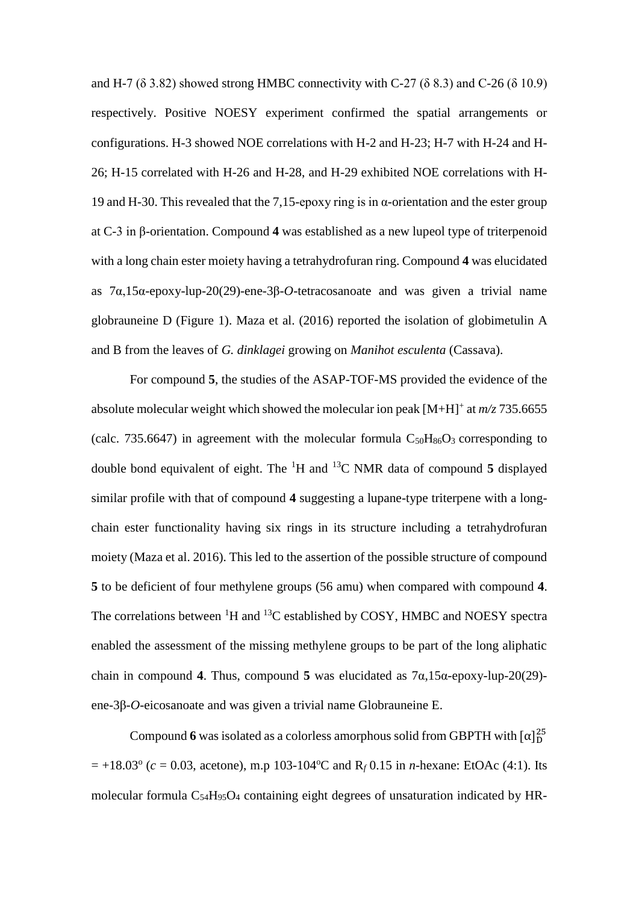and H-7 ( $\delta$  3.82) showed strong HMBC connectivity with C-27 ( $\delta$  8.3) and C-26 ( $\delta$  10.9) respectively. Positive NOESY experiment confirmed the spatial arrangements or configurations. H-3 showed NOE correlations with H-2 and H-23; H-7 with H-24 and H-26; H-15 correlated with H-26 and H-28, and H-29 exhibited NOE correlations with H-19 and H-30. This revealed that the 7,15-epoxy ring is in  $\alpha$ -orientation and the ester group at C-3 in β-orientation. Compound **4** was established as a new lupeol type of triterpenoid with a long chain ester moiety having a tetrahydrofuran ring. Compound **4** was elucidated as 7α,15α-epoxy-lup-20(29)-ene-3β-*O*-tetracosanoate and was given a trivial name globrauneine D (Figure 1). Maza et al. (2016) reported the isolation of globimetulin A and B from the leaves of *G. dinklagei* growing on *Manihot esculenta* (Cassava).

For compound **5**, the studies of the ASAP-TOF-MS provided the evidence of the absolute molecular weight which showed the molecular ion peak [M+H]<sup>+</sup> at *m/z* 735.6655 (calc. 735.6647) in agreement with the molecular formula  $C_{50}H_{86}O_3$  corresponding to double bond equivalent of eight. The <sup>1</sup>H and <sup>13</sup>C NMR data of compound **5** displayed similar profile with that of compound **4** suggesting a lupane-type triterpene with a longchain ester functionality having six rings in its structure including a tetrahydrofuran moiety (Maza et al. 2016). This led to the assertion of the possible structure of compound **5** to be deficient of four methylene groups (56 amu) when compared with compound **4**. The correlations between  ${}^{1}H$  and  ${}^{13}C$  established by COSY, HMBC and NOESY spectra enabled the assessment of the missing methylene groups to be part of the long aliphatic chain in compound **4**. Thus, compound **5** was elucidated as 7α,15α-epoxy-lup-20(29) ene-3β-*O*-eicosanoate and was given a trivial name Globrauneine E.

Compound 6 was isolated as a colorless amorphous solid from GBPTH with  $\alpha$ <sup>25</sup>  $= +18.03^{\circ}$  ( $c = 0.03$ , acetone), m.p 103-104<sup>o</sup>C and R<sub>f</sub> 0.15 in *n*-hexane: EtOAc (4:1). Its molecular formula C54H95O<sup>4</sup> containing eight degrees of unsaturation indicated by HR-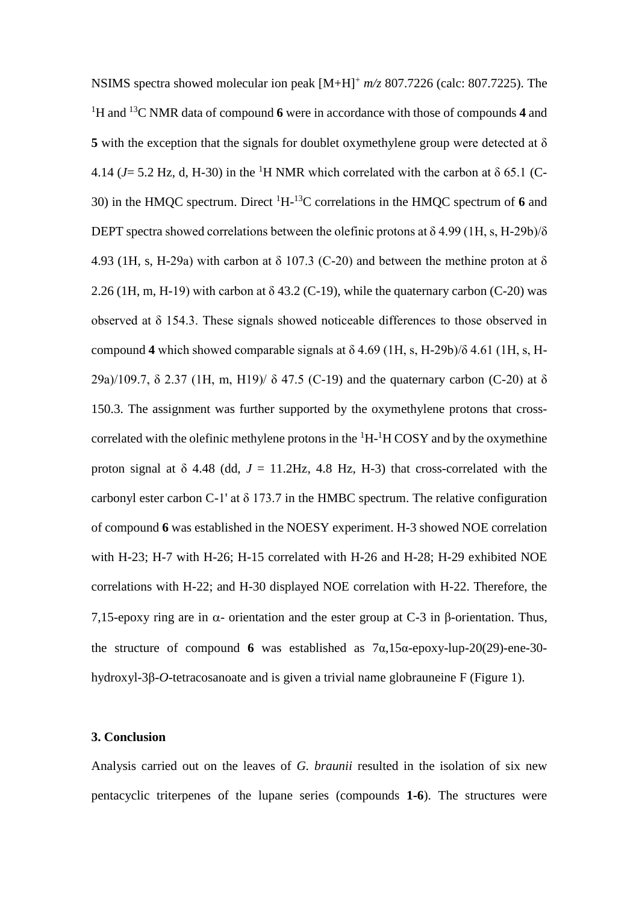NSIMS spectra showed molecular ion peak [M+H]<sup>+</sup> *m/z* 807.7226 (calc: 807.7225). The <sup>1</sup>H and <sup>13</sup>C NMR data of compound **6** were in accordance with those of compounds **4** and **5** with the exception that the signals for doublet oxymethylene group were detected at δ 4.14 ( $J = 5.2$  Hz, d, H-30) in the <sup>1</sup>H NMR which correlated with the carbon at  $\delta$  65.1 (C-30) in the HMQC spectrum. Direct <sup>1</sup>H-<sup>13</sup>C correlations in the HMQC spectrum of **6** and DEPT spectra showed correlations between the olefinic protons at  $\delta$  4.99 (1H, s, H-29b)/ $\delta$ 4.93 (1H, s, H-29a) with carbon at  $\delta$  107.3 (C-20) and between the methine proton at  $\delta$ 2.26 (1H, m, H-19) with carbon at  $\delta$  43.2 (C-19), while the quaternary carbon (C-20) was observed at δ 154.3. These signals showed noticeable differences to those observed in compound **4** which showed comparable signals at  $\delta$  4.69 (1H, s, H-29b)/ $\delta$  4.61 (1H, s, H-29a)/109.7, δ 2.37 (1H, m, H19)/ δ 47.5 (C-19) and the quaternary carbon (C-20) at δ 150.3. The assignment was further supported by the oxymethylene protons that crosscorrelated with the olefinic methylene protons in the  ${}^{1}H$ - ${}^{1}H$  COSY and by the oxymethine proton signal at  $\delta$  4.48 (dd,  $J = 11.2$  Hz, 4.8 Hz, H-3) that cross-correlated with the carbonyl ester carbon C-1' at  $\delta$  173.7 in the HMBC spectrum. The relative configuration of compound **6** was established in the NOESY experiment. H-3 showed NOE correlation with H-23; H-7 with H-26; H-15 correlated with H-26 and H-28; H-29 exhibited NOE correlations with H-22; and H-30 displayed NOE correlation with H-22. Therefore, the 7,15-epoxy ring are in  $\alpha$ - orientation and the ester group at C-3 in β-orientation. Thus, the structure of compound **6** was established as 7α,15α-epoxy-lup-20(29)-ene-30 hydroxyl-3β-*O*-tetracosanoate and is given a trivial name globrauneine F (Figure 1).

#### **3. Conclusion**

Analysis carried out on the leaves of *G. braunii* resulted in the isolation of six new pentacyclic triterpenes of the lupane series (compounds **1-6**). The structures were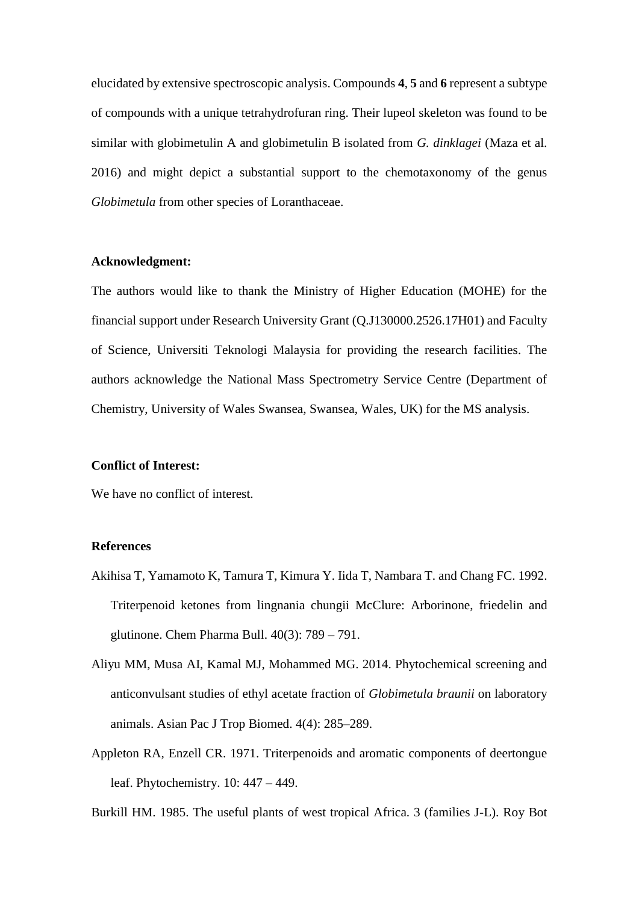elucidated by extensive spectroscopic analysis. Compounds **4**, **5** and **6** represent a subtype of compounds with a unique tetrahydrofuran ring. Their lupeol skeleton was found to be similar with globimetulin A and globimetulin B isolated from *G. dinklagei* (Maza et al. 2016) and might depict a substantial support to the chemotaxonomy of the genus *Globimetula* from other species of Loranthaceae.

#### **Acknowledgment:**

The authors would like to thank the Ministry of Higher Education (MOHE) for the financial support under Research University Grant (Q.J130000.2526.17H01) and Faculty of Science, Universiti Teknologi Malaysia for providing the research facilities. The authors acknowledge the National Mass Spectrometry Service Centre (Department of Chemistry, University of Wales Swansea, Swansea, Wales, UK) for the MS analysis.

#### **Conflict of Interest:**

We have no conflict of interest.

#### **References**

- Akihisa T, Yamamoto K, Tamura T, Kimura Y. Iida T, Nambara T. and Chang FC. 1992. Triterpenoid ketones from lingnania chungii McClure: Arborinone, friedelin and glutinone. Chem Pharma Bull. 40(3): 789 – 791.
- Aliyu MM, Musa AI, Kamal MJ, Mohammed MG. 2014. Phytochemical screening and anticonvulsant studies of ethyl acetate fraction of *Globimetula braunii* on laboratory animals. Asian Pac J Trop Biomed. 4(4): 285–289.
- Appleton RA, Enzell CR. 1971. Triterpenoids and aromatic components of deertongue leaf. Phytochemistry. 10: 447 – 449.

Burkill HM. 1985. The useful plants of west tropical Africa. 3 (families J-L). Roy Bot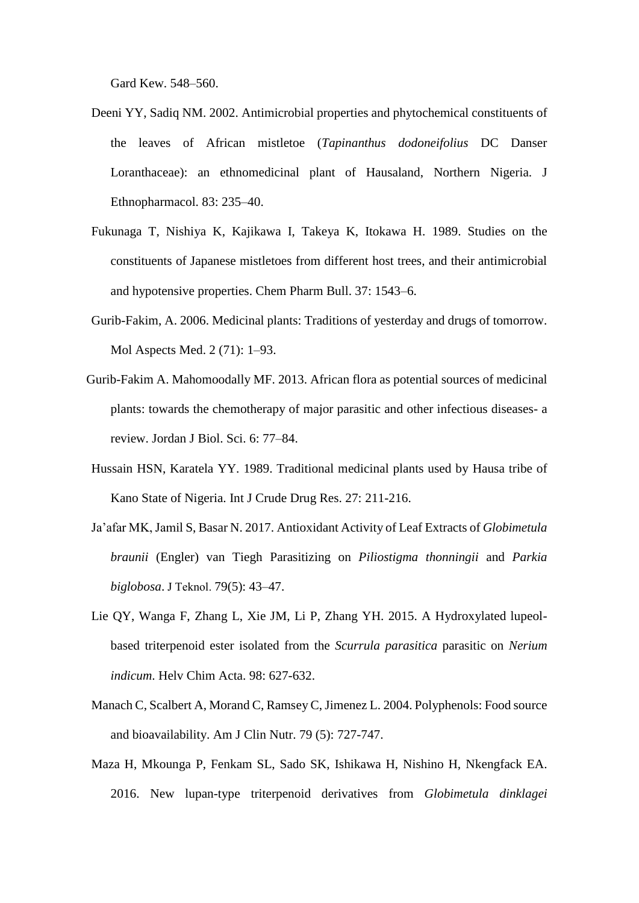Gard Kew. 548–560.

- Deeni YY, Sadiq NM. 2002. Antimicrobial properties and phytochemical constituents of the leaves of African mistletoe (*Tapinanthus dodoneifolius* DC Danser Loranthaceae): an ethnomedicinal plant of Hausaland, Northern Nigeria. J Ethnopharmacol. 83: 235–40.
- Fukunaga T, Nishiya K, Kajikawa I, Takeya K, Itokawa H. 1989. Studies on the constituents of Japanese mistletoes from different host trees, and their antimicrobial and hypotensive properties. Chem Pharm Bull. 37: 1543–6.
- Gurib-Fakim, A. 2006. Medicinal plants: Traditions of yesterday and drugs of tomorrow. Mol Aspects Med. 2 (71): 1–93.
- Gurib-Fakim A. Mahomoodally MF. 2013. African flora as potential sources of medicinal plants: towards the chemotherapy of major parasitic and other infectious diseases- a review. Jordan J Biol. Sci. 6: 77–84.
- Hussain HSN, Karatela YY. 1989. Traditional medicinal plants used by Hausa tribe of Kano State of Nigeria. Int J Crude Drug Res. 27: 211-216.
- Ja'afar MK, Jamil S, Basar N. 2017. Antioxidant Activity of Leaf Extracts of *Globimetula braunii* (Engler) van Tiegh Parasitizing on *Piliostigma thonningii* and *Parkia biglobosa*. J Teknol. 79(5): 43–47.
- Lie QY, Wanga F, Zhang L, Xie JM, Li P, Zhang YH. 2015. A Hydroxylated lupeolbased triterpenoid ester isolated from the *Scurrula parasitica* parasitic on *Nerium indicum*. Helv Chim Acta. 98: 627-632.
- Manach C, Scalbert A, Morand C, Ramsey C, Jimenez L. 2004. Polyphenols: Food source and bioavailability. Am J Clin Nutr. 79 (5): 727-747.
- Maza H, Mkounga P, Fenkam SL, Sado SK, Ishikawa H, Nishino H, Nkengfack EA. 2016. New lupan-type triterpenoid derivatives from *Globimetula dinklagei*